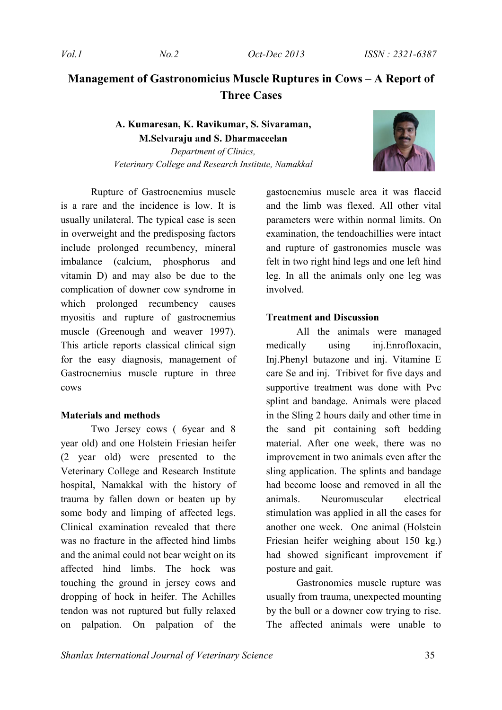# **Management of Gastronomicius Muscle Ruptures in Cows – A Report of Three Cases**

## **A. Kumaresan, K. Ravikumar, S. Sivaraman, M.Selvaraju and S. Dharmaceelan**

*Department of Clinics, Veterinary College and Research Institute, Namakkal*



Rupture of Gastrocnemius muscle is a rare and the incidence is low. It is usually unilateral. The typical case is seen in overweight and the predisposing factors include prolonged recumbency, mineral imbalance (calcium, phosphorus and vitamin D) and may also be due to the complication of downer cow syndrome in which prolonged recumbency causes myositis and rupture of gastrocnemius muscle (Greenough and weaver 1997). This article reports classical clinical sign for the easy diagnosis, management of Gastrocnemius muscle rupture in three cows

### **Materials and methods**

Two Jersey cows ( 6year and 8 year old) and one Holstein Friesian heifer (2 year old) were presented to the Veterinary College and Research Institute hospital, Namakkal with the history of trauma by fallen down or beaten up by some body and limping of affected legs. Clinical examination revealed that there was no fracture in the affected hind limbs and the animal could not bear weight on its affected hind limbs. The hock was touching the ground in jersey cows and dropping of hock in heifer. The Achilles tendon was not ruptured but fully relaxed on palpation. On palpation of the

gastocnemius muscle area it was flaccid and the limb was flexed. All other vital parameters were within normal limits. On examination, the tendoachillies were intact and rupture of gastronomies muscle was felt in two right hind legs and one left hind leg. In all the animals only one leg was involved.

#### **Treatment and Discussion**

All the animals were managed medically using inj.Enrofloxacin, Inj.Phenyl butazone and inj. Vitamine E care Se and inj. Tribivet for five days and supportive treatment was done with Pvc splint and bandage. Animals were placed in the Sling 2 hours daily and other time in the sand pit containing soft bedding material. After one week, there was no improvement in two animals even after the sling application. The splints and bandage had become loose and removed in all the animals. Neuromuscular electrical stimulation was applied in all the cases for another one week. One animal (Holstein Friesian heifer weighing about 150 kg.) had showed significant improvement if posture and gait.

Gastronomies muscle rupture was usually from trauma, unexpected mounting by the bull or a downer cow trying to rise. The affected animals were unable to